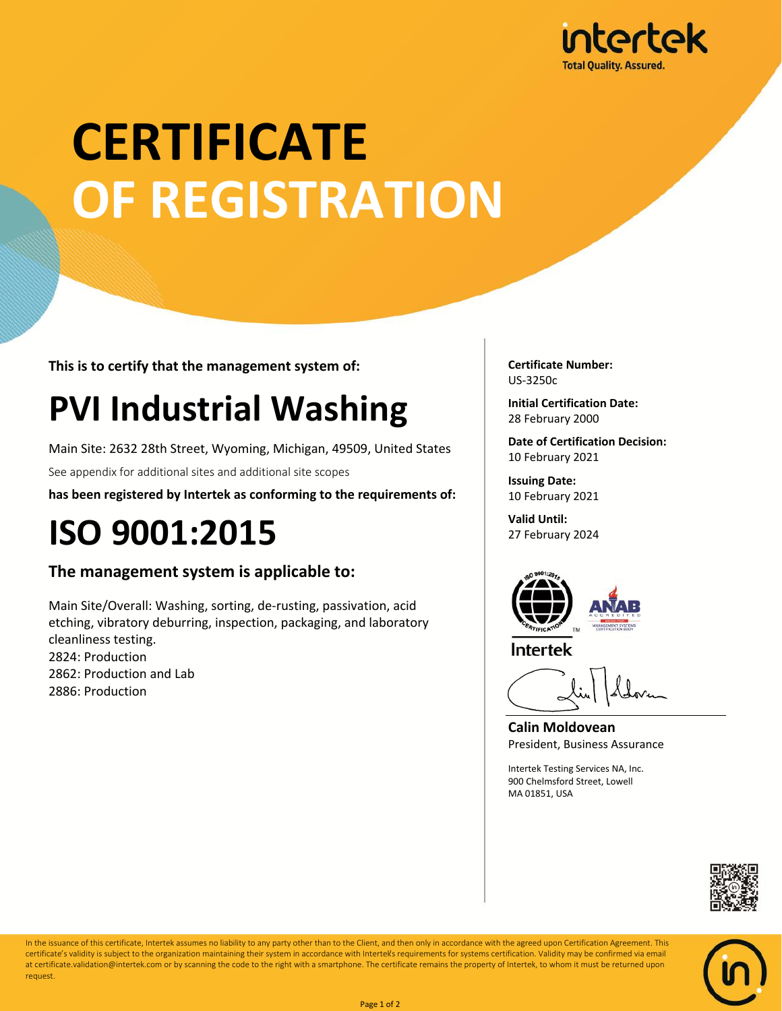

# **CERTIFICATE OF REGISTRATION**

**This is to certify that the management system of:**

## **PVI Industrial Washing**

Main Site: 2632 28th Street, Wyoming, Michigan, 49509, United States

See appendix for additional sites and additional site scopes

**has been registered by Intertek as conforming to the requirements of:**

### **ISO 9001:2015**

#### **The management system is applicable to:**

Main Site/Overall: Washing, sorting, de-rusting, passivation, acid etching, vibratory deburring, inspection, packaging, and laboratory cleanliness testing. 2824: Production 2862: Production and Lab 2886: Production

**Certificate Number:** US-3250c

**Initial Certification Date:** 28 February 2000

**Date of Certification Decision:** 10 February 2021

**Issuing Date:** 10 February 2021

**Valid Until:** 27 February 2024





**Calin Moldovean** President, Business Assurance

Intertek Testing Services NA, Inc. 900 Chelmsford Street, Lowell MA 01851, USA





In the issuance of this certificate, Intertek assumes no liability to any party other than to the Client, and then only in accordance with the agreed upon Certification Agreement. This certificate's validity is subject to the organization maintaining their system in accordance with Intertek's requirements for systems certification. Validity may be confirmed via email at certificate.validation@intertek.com or by scanning the code to the right with a smartphone. The certificate remains the property of Intertek, to whom it must be returned upon request.